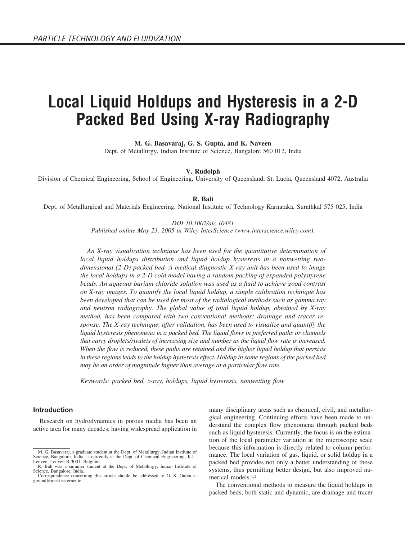# **Local Liquid Holdups and Hysteresis in a 2-D Packed Bed Using X-ray Radiography**

**M. G. Basavaraj, G. S. Gupta, and K. Naveen**

Dept. of Metallurgy, Indian Institute of Science, Bangalore 560 012, India

#### **V. Rudolph**

Division of Chemical Engineering, School of Engineering, University of Queensland, St. Lucia, Queensland 4072, Australia

**R. Bali**

Dept. of Metallurgical and Materials Engineering, National Institute of Technology Karnataka, Surathkal 575 025, India

*DOI 10.1002/aic.10481 Published online May 23, 2005 in Wiley InterScience (www.interscience.wiley.com).*

*An X-ray visualization technique has been used for the quantitative determination of local liquid holdups distribution and liquid holdup hysteresis in a nonwetting twodimensional (2-D) packed bed. A medical diagnostic X-ray unit has been used to image the local holdups in a 2-D cold model having a random packing of expanded polystyrene beads. An aqueous barium chloride solution was used as a fluid to achieve good contrast on X-ray images. To quantify the local liquid holdup, a simple calibration technique has been developed that can be used for most of the radiological methods such as gamma ray and neutron radiography. The global value of total liquid holdup, obtained by X-ray method, has been compared with two conventional methods: drainage and tracer response. The X-ray technique, after validation, has been used to visualize and quantify the liquid hysteresis phenomena in a packed bed. The liquid flows in preferred paths or channels that carry droplets/rivulets of increasing size and number as the liquid flow rate is increased. When the flow is reduced, these paths are retained and the higher liquid holdup that persists in these regions leads to the holdup hysteresis effect. Holdup in some regions of the packed bed may be an order of magnitude higher than average at a particular flow rate.*

*Keywords: packed bed, x-ray, holdups, liquid hysteresis, nonwetting flow*

# **Introduction**

Research on hydrodynamics in porous media has been an active area for many decades, having widespread application in many disciplinary areas such as chemical, civil, and metallurgical engineering. Continuing efforts have been made to understand the complex flow phenomena through packed beds such as liquid hysteresis. Currently, the focus is on the estimation of the local parameter variation at the microscopic scale because this information is directly related to column performance. The local variation of gas, liquid, or solid holdup in a packed bed provides not only a better understanding of these systems, thus permitting better design, but also improved numerical models.1,2

The conventional methods to measure the liquid holdups in packed beds, both static and dynamic, are drainage and tracer

M. G. Basavaraj, a graduate student at the Dept. of Metallurgy, Indian Institute of Science, Bangalore, India, is currently at the Dept. of Chemical Engineering, K.U. Leuven, Leuven B-3001, Belgium.

R. Bali was a summer student at the Dept. of Metallurgy, Indian Institute of Science, Bangalore, India. Correspondence concerning this article should be addressed to G. S. Gupta at

govind@met.iisc.ernet.in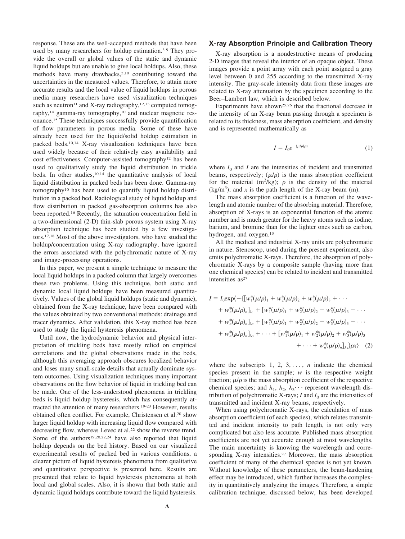response. These are the well-accepted methods that have been used by many researchers for holdup estimation.<sup>3-9</sup> They provide the overall or global values of the static and dynamic liquid holdups but are unable to give local holdups. Also, these methods have many drawbacks,3,10 contributing toward the uncertainties in the measured values. Therefore, to attain more accurate results and the local value of liquid holdups in porous media many researchers have used visualization techniques such as neutron<sup>11</sup> and X-ray radiography,<sup>12,13</sup> computed tomography,<sup>14</sup> gamma-ray tomography,<sup>10</sup> and nuclear magnetic resonance.<sup>15</sup> These techniques successfully provide quantification of flow parameters in porous media. Some of these have already been used for the liquid/solid holdup estimation in packed beds.10,14 X-ray visualization techniques have been used widely because of their relatively easy availability and cost effectiveness. Computer-assisted tomography<sup>12</sup> has been used to qualitatively study the liquid distribution in trickle beds. In other studies,<sup>10,14</sup> the quantitative analysis of local liquid distribution in packed beds has been done. Gamma-ray tomography<sup>10</sup> has been used to quantify liquid holdup distribution in a packed bed. Radiological study of liquid holdup and flow distribution in packed gas-absorption columns has also been reported.<sup>16</sup> Recently, the saturation concentration field in a two-dimensional (2-D) thin-slab porous system using X-ray absorption technique has been studied by a few investigators.17,18 Most of the above investigators, who have studied the holdup/concentration using X-ray radiography, have ignored the errors associated with the polychromatic nature of X-ray and image-processing operations.

In this paper, we present a simple technique to measure the local liquid holdups in a packed column that largely overcomes these two problems. Using this technique, both static and dynamic local liquid holdups have been measured quantitatively. Values of the global liquid holdups (static and dynamic), obtained from the X-ray technique, have been compared with the values obtained by two conventional methods: drainage and tracer dynamics. After validation, this X-ray method has been used to study the liquid hysteresis phenomena.

Until now, the hydrodynamic behavior and physical interpretation of trickling beds have mostly relied on empirical correlations and the global observations made in the beds, although this averaging approach obscures localized behavior and loses many small-scale details that actually dominate system outcomes. Using visualization techniques many important observations on the flow behavior of liquid in trickling bed can be made. One of the less-understood phenomena in trickling beds is liquid holdup hysteresis, which has consequently attracted the attention of many researchers.19-23 However, results obtained often conflict. For example, Christensen et al.<sup>20</sup> show larger liquid holdup with increasing liquid flow compared with decreasing flow, whereas Levec et al.<sup>22</sup> show the reverse trend. Some of the authors<sup>19,20,22,24</sup> have also reported that liquid holdup depends on the bed history. Based on our visualized experimental results of packed bed in various conditions, a clearer picture of liquid hysteresis phenomena from qualitative and quantitative perspective is presented here. Results are presented that relate to liquid hysteresis phenomena at both local and global scales. Also, it is shown that both static and dynamic liquid holdups contribute toward the liquid hysteresis.

#### **X-ray Absorption Principle and Calibration Theory**

X-ray absorption is a nondestructive means of producing 2-D images that reveal the interior of an opaque object. These images provide a point array with each point assigned a gray level between 0 and 255 according to the transmitted X-ray intensity. The gray-scale intensity data from these images are related to X-ray attenuation by the specimen according to the Beer–Lambert law, which is described below.

Experiments have shown25,26 that the fractional decrease in the intensity of an X-ray beam passing through a specimen is related to its thickness, mass absorption coefficient, and density and is represented mathematically as

$$
I = I_0 e^{-(\mu/\rho)\rho x} \tag{1}
$$

where  $I_0$  and  $I$  are the intensities of incident and transmitted beams, respectively;  $(\mu/\rho)$  is the mass absorption coefficient for the material  $(m^2/kg)$ ;  $\rho$  is the density of the material  $(kg/m<sup>3</sup>)$ ; and *x* is the path length of the X-ray beam (m).

The mass absorption coefficient is a function of the wavelength and atomic number of the absorbing material. Therefore, absorption of X-rays is an exponential function of the atomic number and is much greater for the heavy atoms such as iodine, barium, and bromine than for the lighter ones such as carbon, hydrogen, and oxygen.<sup>13</sup>

All the medical and industrial X-ray units are polychromatic in nature. Stenoscop, used during the present experiment, also emits polychromatic X-rays. Therefore, the absorption of polychromatic X-rays by a composite sample (having more than one chemical species) can be related to incident and transmitted intensities as<sup>27</sup>

$$
I = I_0 \exp(-\{ [w_1^*(\mu/\rho)_1 + w_2^*(\mu/\rho)_2 + w_3^*(\mu/\rho)_3 + \cdots + w_n^*(\mu/\rho)_n ]_{\lambda_1} + [w_1^*(\mu/\rho)_1 + w_2^*(\mu/\rho)_2 + w_3^*(\mu/\rho)_3 + \cdots + w_n^*(\mu/\rho)_n ]_{\lambda_2} + [w_1^*(\mu/\rho)_1 + w_2^*(\mu/\rho)_2 + w_3^*(\mu/\rho)_3 + \cdots + w_n^*(\mu/\rho)_n ]_{\lambda_3} + \cdots + [w_1^*(\mu/\rho)_1 + w_2^*(\mu/\rho)_2 + w_3^*(\mu/\rho)_3 + \cdots + w_n^*(\mu/\rho)_n ]_{\lambda_n}\} \rho x
$$
 (2)

where the subscripts  $1, 2, 3, \ldots, n$  indicate the chemical species present in the sample; *w* is the respective weight fraction;  $\mu/\rho$  is the mass absorption coefficient of the respective chemical species; and  $\lambda_1$ ,  $\lambda_2$ ,  $\lambda_3$ ... represent wavelength distribution of polychromatic X-rays;  $I$  and  $I_0$  are the intensities of transmitted and incident X-ray beams, respectively.

When using polychromatic X-rays, the calculation of mass absorption coefficient (of each species), which relates transmitted and incident intensity to path length, is not only very complicated but also less accurate. Published mass absorption coefficients are not yet accurate enough at most wavelengths. The main uncertainty is knowing the wavelength and corresponding X-ray intensities.<sup>27</sup> Moreover, the mass absorption coefficient of many of the chemical species is not yet known. Without knowledge of these parameters, the beam-hardening effect may be introduced, which further increases the complexity in quantitatively analyzing the images. Therefore, a simple calibration technique, discussed below, has been developed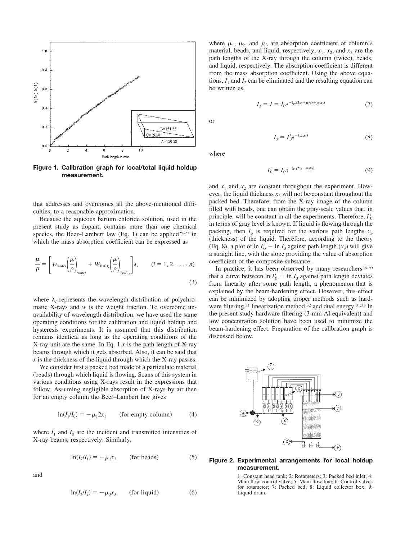

**Figure 1. Calibration graph for local/total liquid holdup measurement.**

that addresses and overcomes all the above-mentioned difficulties, to a reasonable approximation.

Because the aqueous barium chloride solution, used in the present study as dopant, contains more than one chemical species, the Beer–Lambert law (Eq. 1) can be applied<sup>25-27</sup> in which the mass absorption coefficient can be expressed as

$$
\frac{\mu}{\rho} = \left[ w_{\text{water}} \left( \frac{\mu}{\rho} \right)_{\text{water}} + W_{\text{BaCl}_2} \left( \frac{\mu}{\rho} \right)_{\text{BaCl}_2} \right] \lambda_i \qquad (i = 1, 2, \dots, n)
$$
\n(3)

where  $\lambda_i$  represents the wavelength distribution of polychromatic X-rays and *w* is the weight fraction. To overcome unavailability of wavelength distribution, we have used the same operating conditions for the calibration and liquid holdup and hysteresis experiments. It is assumed that this distribution remains identical as long as the operating conditions of the X-ray unit are the same. In Eq.  $1 \times$  is the path length of X-ray beams through which it gets absorbed. Also, it can be said that *x* is the thickness of the liquid through which the X-ray passes.

We consider first a packed bed made of a particulate material (beads) through which liquid is flowing. Scans of this system in various conditions using X-rays result in the expressions that follow. Assuming negligible absorption of X-rays by air then for an empty column the Beer–Lambert law gives

$$
\ln(I_1/I_0) = -\mu_1 2x_1 \qquad \text{(for empty column)} \tag{4}
$$

where  $I_1$  and  $I_0$  are the incident and transmitted intensities of X-ray beams, respectively. Similarly,

$$
\ln(I_2/I_1) = -\mu_2 x_2 \qquad \text{(for beads)} \tag{5}
$$

and

$$
\ln(I_3/I_2) = -\mu_3 x_3 \qquad \text{(for liquid)} \tag{6}
$$

where  $\mu_1$ ,  $\mu_2$ , and  $\mu_3$  are absorption coefficient of column's material, beads, and liquid, respectively;  $x_1$ ,  $x_2$ , and  $x_3$  are the path lengths of the X-ray through the column (twice), beads, and liquid, respectively. The absorption coefficient is different from the mass absorption coefficient. Using the above equations,  $I_1$  and  $I_2$  can be eliminated and the resulting equation can be written as

 $I_3 = I'_0 e^{-(\mu_3 x_3)}$ 

$$
I_3 = I = I_0 e^{-(\mu_1 2x_1 + \mu_2 x_2 + \mu_3 x_3)}
$$
(7)

or

where

$$
I_0' = I_0 e^{-(\mu_1 2x_1 + \mu_2 x_2)}
$$
\n(9)

(8)

and  $x_1$  and  $x_2$  are constant throughout the experiment. However, the liquid thickness  $x_3$  will not be constant throughout the packed bed. Therefore, from the X-ray image of the column filled with beads, one can obtain the gray-scale values that, in principle, will be constant in all the experiments. Therefore,  $I_0$ <sup>t</sup> in terms of gray level is known. If liquid is flowing through the packing, then  $I_3$  is required for the various path lengths  $x_3$ (thickness) of the liquid. Therefore, according to the theory (Eq. 8), a plot of  $\ln I_0' - \ln I_3$  against path length (*x*<sub>3</sub>) will give a straight line, with the slope providing the value of absorption coefficient of the composite substance.

In practice, it has been observed by many researchers<sup>28-30</sup> that a curve between  $\ln I_0' - \ln I_3$  against path length deviates from linearity after some path length, a phenomenon that is explained by the beam-hardening effect. However, this effect can be minimized by adopting proper methods such as hardware filtering,<sup>31</sup> linearization method,<sup>32</sup> and dual energy.<sup>31,33</sup> In the present study hardware filtering (3 mm Al equivalent) and low concentration solution have been used to minimize the beam-hardening effect. Preparation of the calibration graph is discussed below.



#### **Figure 2. Experimental arrangements for local holdup measurement.**

1: Constant head tank; 2: Rotameters; 3: Packed bed inlet; 4: Main flow control valve; 5: Main flow line; 6: Control valves for rotameter; 7: Packed bed; 8: Liquid collector box; 9: Liquid drain.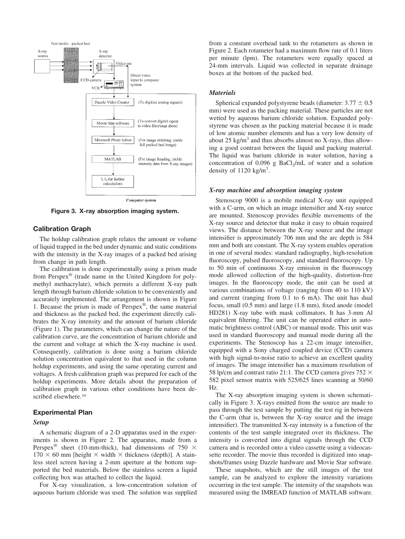

**Figure 3. X-ray absorption imaging system.**

# **Calibration Graph**

The holdup calibration graph relates the amount or volume of liquid trapped in the bed under dynamic and static conditions with the intensity in the X-ray images of a packed bed arising from change in path length.

The calibration is done experimentally using a prism made from Perspex® (trade name in the United Kingdom for polymethyl methacrylate), which permits a different X-ray path length through barium chloride solution to be conveniently and accurately implemented. The arrangement is shown in Figure 1. Because the prism is made of Perspex® , the same material and thickness as the packed bed, the experiment directly calibrates the X-ray intensity and the amount of barium chloride (Figure 1). The parameters, which can change the nature of the calibration curve, are the concentration of barium chloride and the current and voltage at which the X-ray machine is used. Consequently, calibration is done using a barium chloride solution concentration equivalent to that used in the column holdup experiments, and using the same operating current and voltages. A fresh calibration graph was prepared for each of the holdup experiments. More details about the preparation of calibration graph in various other conditions have been described elsewhere.<sup>34</sup>

#### **Experimental Plan**

## *Setup*

A schematic diagram of a 2-D apparatus used in the experiments is shown in Figure 2. The apparatus, made from a Perspex<sup>®</sup> sheet (10-mm-thick), had dimensions of 750  $\times$  $170 \times 60$  mm [height  $\times$  width  $\times$  thickness (depth)]. A stainless steel screen having a 2-mm aperture at the bottom supported the bed materials. Below the stainless screen a liquid collecting box was attached to collect the liquid.

For X-ray visualization, a low-concentration solution of aqueous barium chloride was used. The solution was supplied

from a constant overhead tank to the rotameters as shown in Figure 2. Each rotameter had a maximum flow rate of 0.1 liters per minute (lpm). The rotameters were equally spaced at 24-mm intervals. Liquid was collected in separate drainage boxes at the bottom of the packed bed.

#### *Materials*

Spherical expanded polystyrene beads (diameter:  $3.77 \pm 0.5$ ) mm) were used as the packing material. These particles are not wetted by aqueous barium chloride solution. Expanded polystyrene was chosen as the packing material because it is made of low atomic number elements and has a very low density of about 25 kg/ $m<sup>3</sup>$  and thus absorbs almost no X-rays, thus allowing a good contrast between the liquid and packing material. The liquid was barium chloride in water solution, having a concentration of  $0.096$  g BaCl<sub>2</sub>/mL of water and a solution density of  $1120 \text{ kg/m}^3$ .

#### *X-ray machine and absorption imaging system*

Stenoscop 9000 is a mobile medical X-ray unit equipped with a C-arm, on which an image intensifier and X-ray source are mounted. Stenoscop provides flexible movements of the X-ray source and detector that make it easy to obtain required views. The distance between the X-ray source and the image intensifier is approximately 706 mm and the arc depth is 584 mm and both are constant. The X-ray system enables operation in one of several modes: standard radiography, high-resolution fluoroscopy, pulsed fluoroscopy, and standard fluoroscopy. Up to 50 min of continuous X-ray emission in the fluoroscopy mode allowed collection of the high-quality, distortion-free images. In the fluoroscopy mode, the unit can be used at various combinations of voltage (ranging from 40 to 110 kV) and current (ranging from 0.1 to 6 mA). The unit has dual focus, small (0.5 mm) and large (1.8 mm), fixed anode (model HD281) X-ray tube with mask collimators. It has 3-mm Al equivalent filtering. The unit can be operated either in automatic brightness control (ABC) or manual mode. This unit was used in standard fluoroscopy and manual mode during all the experiments. The Stenoscop has a 22-cm image intensifier, equipped with a Sony charged coupled device (CCD) camera with high signal-to-noise ratio to achieve an excellent quality of images. The image intensifier has a maximum resolution of 58 lp/cm and contrast ratio 21:1. The CCD camera gives  $752 \times$ 582 pixel sensor matrix with 525/625 lines scanning at 50/60 Hz.

The X-ray absorption imaging system is shown schematically in Figure 3. X-rays emitted from the source are made to pass through the test sample by putting the test rig in between the C-arm (that is, between the X-ray source and the image intensifier). The transmitted X-ray intensity is a function of the contents of the test sample integrated over its thickness. The intensity is converted into digital signals through the CCD camera and is recorded onto a video cassette using a videocassette recorder. The movie thus recorded is digitized into snapshots/frames using Dazzle hardware and Movie Star software.

These snapshots, which are the still images of the test sample, can be analyzed to explore the intensity variations occurring in the test sample. The intensity of the snapshots was measured using the IMREAD function of MATLAB software.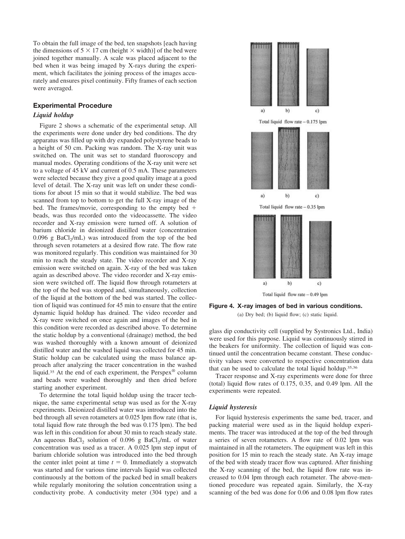To obtain the full image of the bed, ten snapshots [each having the dimensions of  $5 \times 17$  cm (height  $\times$  width)] of the bed were joined together manually. A scale was placed adjacent to the bed when it was being imaged by X-rays during the experiment, which facilitates the joining process of the images accurately and ensures pixel continuity. Fifty frames of each section were averaged.

#### **Experimental Procedure**

# *Liquid holdup*

Figure 2 shows a schematic of the experimental setup. All the experiments were done under dry bed conditions. The dry apparatus was filled up with dry expanded polystyrene beads to a height of 50 cm. Packing was random. The X-ray unit was switched on. The unit was set to standard fluoroscopy and manual modes. Operating conditions of the X-ray unit were set to a voltage of 45 kV and current of 0.5 mA. These parameters were selected because they give a good quality image at a good level of detail. The X-ray unit was left on under these conditions for about 15 min so that it would stabilize. The bed was scanned from top to bottom to get the full X-ray image of the bed. The frames/movie, corresponding to the empty bed  $+$ beads, was thus recorded onto the videocassette. The video recorder and X-ray emission were turned off. A solution of barium chloride in deionized distilled water (concentration  $0.096$  g BaCl<sub>2</sub>/mL) was introduced from the top of the bed through seven rotameters at a desired flow rate. The flow rate was monitored regularly. This condition was maintained for 30 min to reach the steady state. The video recorder and X-ray emission were switched on again. X-ray of the bed was taken again as described above. The video recorder and X-ray emission were switched off. The liquid flow through rotameters at the top of the bed was stopped and, simultaneously, collection of the liquid at the bottom of the bed was started. The collection of liquid was continued for 45 min to ensure that the entire dynamic liquid holdup has drained. The video recorder and X-ray were switched on once again and images of the bed in this condition were recorded as described above. To determine the static holdup by a conventional (drainage) method, the bed was washed thoroughly with a known amount of deionized distilled water and the washed liquid was collected for 45 min. Static holdup can be calculated using the mass balance approach after analyzing the tracer concentration in the washed liquid.<sup>35</sup> At the end of each experiment, the Perspex® column and beads were washed thoroughly and then dried before starting another experiment.

To determine the total liquid holdup using the tracer technique, the same experimental setup was used as for the X-ray experiments. Deionized distilled water was introduced into the bed through all seven rotameters at 0.025 lpm flow rate (that is, total liquid flow rate through the bed was 0.175 lpm). The bed was left in this condition for about 30 min to reach steady state. An aqueous  $BaCl_2$  solution of 0.096 g  $BaCl_2/mL$  of water concentration was used as a tracer. A 0.025 lpm step input of barium chloride solution was introduced into the bed through the center inlet point at time  $t = 0$ . Immediately a stopwatch was started and for various time intervals liquid was collected continuously at the bottom of the packed bed in small beakers while regularly monitoring the solution concentration using a conductivity probe. A conductivity meter (304 type) and a



**Figure 4. X-ray images of bed in various conditions.**

(a) Dry bed; (b) liquid flow; (c) static liquid.

glass dip conductivity cell (supplied by Systronics Ltd., India) were used for this purpose. Liquid was continuously stirred in the beakers for uniformity. The collection of liquid was continued until the concentration became constant. These conductivity values were converted to respective concentration data that can be used to calculate the total liquid holdup.35,36

Tracer response and X-ray experiments were done for three (total) liquid flow rates of 0.175, 0.35, and 0.49 lpm. All the experiments were repeated.

## *Liquid hysteresis*

For liquid hysteresis experiments the same bed, tracer, and packing material were used as in the liquid holdup experiments. The tracer was introduced at the top of the bed through a series of seven rotameters. A flow rate of 0.02 lpm was maintained in all the rotameters. The equipment was left in this position for 15 min to reach the steady state. An X-ray image of the bed with steady tracer flow was captured. After finishing the X-ray scanning of the bed, the liquid flow rate was increased to 0.04 lpm through each rotameter. The above-mentioned procedure was repeated again. Similarly, the X-ray scanning of the bed was done for 0.06 and 0.08 lpm flow rates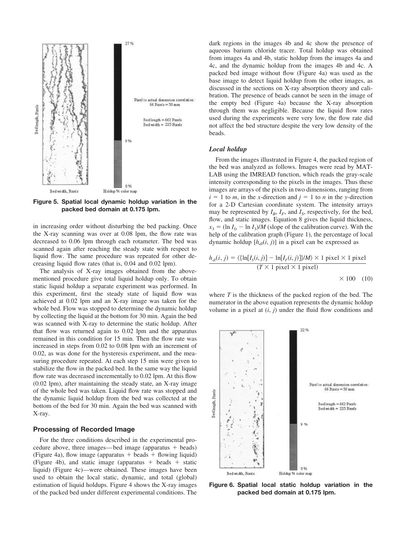

**Figure 5. Spatial local dynamic holdup variation in the packed bed domain at 0.175 lpm.**

in increasing order without disturbing the bed packing. Once the X-ray scanning was over at 0.08 lpm, the flow rate was decreased to 0.06 lpm through each rotameter. The bed was scanned again after reaching the steady state with respect to liquid flow. The same procedure was repeated for other decreasing liquid flow rates (that is, 0.04 and 0.02 lpm).

The analysis of X-ray images obtained from the abovementioned procedure give total liquid holdup only. To obtain static liquid holdup a separate experiment was performed. In this experiment, first the steady state of liquid flow was achieved at 0.02 lpm and an X-ray image was taken for the whole bed. Flow was stopped to determine the dynamic holdup by collecting the liquid at the bottom for 30 min. Again the bed was scanned with X-ray to determine the static holdup. After that flow was returned again to 0.02 lpm and the apparatus remained in this condition for 15 min. Then the flow rate was increased in steps from 0.02 to 0.08 lpm with an increment of 0.02, as was done for the hysteresis experiment, and the measuring procedure repeated. At each step 15 min were given to stabilize the flow in the packed bed. In the same way the liquid flow rate was decreased incrementally to 0.02 lpm. At this flow (0.02 lpm), after maintaining the steady state, an X-ray image of the whole bed was taken. Liquid flow rate was stopped and the dynamic liquid holdup from the bed was collected at the bottom of the bed for 30 min. Again the bed was scanned with X-ray.

#### **Processing of Recorded Image**

For the three conditions described in the experimental procedure above, three images—bed image (apparatus  $+$  beads) (Figure 4a), flow image (apparatus  $+$  beads  $+$  flowing liquid) (Figure 4b), and static image (apparatus  $+$  beads  $+$  static liquid) (Figure 4c)—were obtained. These images have been used to obtain the local static, dynamic, and total (global) estimation of liquid holdups. Figure 4 shows the X-ray images of the packed bed under different experimental conditions. The dark regions in the images 4b and 4c show the presence of aqueous barium chloride tracer. Total holdup was obtained from images 4a and 4b, static holdup from the images 4a and 4c, and the dynamic holdup from the images 4b and 4c. A packed bed image without flow (Figure 4a) was used as the base image to detect liquid holdup from the other images, as discussed in the sections on X-ray absorption theory and calibration. The presence of beads cannot be seen in the image of the empty bed (Figure 4a) because the X-ray absorption through them was negligible. Because the liquid flow rates used during the experiments were very low, the flow rate did not affect the bed structure despite the very low density of the beads.

#### *Local holdup*

From the images illustrated in Figure 4, the packed region of the bed was analyzed as follows. Images were read by MAT-LAB using the IMREAD function, which reads the gray-scale intensity corresponding to the pixels in the images. Thus these images are arrays of the pixels in two dimensions, ranging from  $i = 1$  to *m*, in the *x*-direction and  $j = 1$  to *n* in the *y*-direction for a 2-D Cartesian coordinate system. The intensity arrays may be represented by  $I_B$ ,  $I_F$ , and  $I_S$ , respectively, for the bed, flow, and static images. Equation 8 gives the liquid thickness,  $x_3 = (\ln I_0 - \ln I_3)/M$  (slope of the calibration curve). With the help of the calibration graph (Figure 1), the percentage of local dynamic holdup  $[h_{d}l(i, j)]$  in a pixel can be expressed as

$$
h_{dl}(i, j) = \langle \{ \ln[I_S(i, j)] - \ln[I_F(i, j)] \} / M \rangle \times 1 \text{ pixel} \times 1 \text{ pixel}
$$
  
(*T* × 1 pixel × 1 pixel)  
× 100 (10)

where *T* is the thickness of the packed region of the bed. The numerator in the above equation represents the dynamic holdup volume in a pixel at  $(i, j)$  under the fluid flow conditions and



**Figure 6. Spatial local static holdup variation in the packed bed domain at 0.175 lpm.**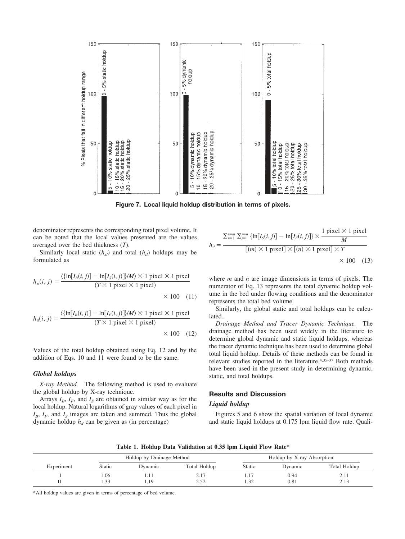

**Figure 7. Local liquid holdup distribution in terms of pixels.**

denominator represents the corresponding total pixel volume. It can be noted that the local values presented are the values averaged over the bed thickness (*T*).

Similarly local static  $(h_{sl})$  and total  $(h_{tl})$  holdups may be formulated as

$$
h_{sl}(i, j) = \frac{\langle \{ \ln[I_B(i, j)] - \ln[I_S(i, j)] \} | M \rangle \times 1 \text{ pixel} \times 1 \text{ pixel}}{(T \times 1 \text{ pixel} \times 1 \text{ pixel})}
$$
  
 
$$
\times 100 \quad (11)
$$

$$
h_{il}(i, j) = \frac{\langle \{ \ln[I_B(i, j)] - \ln[I_F(i, j)] \} | M \rangle \times 1 \text{ pixel} \times 1 \text{ pixel}}{(T \times 1 \text{ pixel} \times 1 \text{ pixel})}
$$
  
× 100 (12)

Values of the total holdup obtained using Eq. 12 and by the addition of Eqs. 10 and 11 were found to be the same.

#### *Global holdups*

*X-ray Method.* The following method is used to evaluate the global holdup by X-ray technique.

Arrays  $I_B$ ,  $I_F$ , and  $I_S$  are obtained in similar way as for the local holdup. Natural logarithms of gray values of each pixel in  $I_B$ ,  $I_F$ , and  $I_S$  images are taken and summed. Thus the global dynamic holdup  $h_d$  can be given as (in percentage)

$$
h_d = \frac{\sum_{i=1}^{i=m} \sum_{j=1}^{j=n} \{\ln[I_S(i,j)] - \ln[I_F(i,j)]\} \times \frac{1 \text{ pixel} \times 1 \text{ pixel}}{M}}{[(m) \times 1 \text{ pixel}] \times [(n) \times 1 \text{ pixel}] \times T} \times 100 \quad (13)
$$

where *m* and *n* are image dimensions in terms of pixels. The numerator of Eq. 13 represents the total dynamic holdup volume in the bed under flowing conditions and the denominator represents the total bed volume.

Similarly, the global static and total holdups can be calculated.

*Drainage Method and Tracer Dynamic Technique.* The drainage method has been used widely in the literature to determine global dynamic and static liquid holdups, whereas the tracer dynamic technique has been used to determine global total liquid holdup. Details of these methods can be found in relevant studies reported in the literature.4,35-37 Both methods have been used in the present study in determining dynamic, static, and total holdups.

# **Results and Discussion**

#### *Liquid holdup*

Figures 5 and 6 show the spatial variation of local dynamic and static liquid holdups at 0.175 lpm liquid flow rate. Quali-

**Table 1. Holdup Data Validation at 0.35 lpm Liquid Flow Rate\***

|            | Holdup by Drainage Method |                |                    | Holdup by X-ray Absorption |           |              |
|------------|---------------------------|----------------|--------------------|----------------------------|-----------|--------------|
| Experiment | Static                    | <b>Dynamic</b> | Total Holdup       | Static                     | Dynamic   | Total Holdup |
|            | .06                       |                | $\overline{a}$ . 1 |                            | 0.94      | 2.11         |
|            | 1.33                      | 19             | ∠.J∠               | 1.32                       | $_{0.81}$ | 2.13         |

\*All holdup values are given in terms of percentage of bed volume.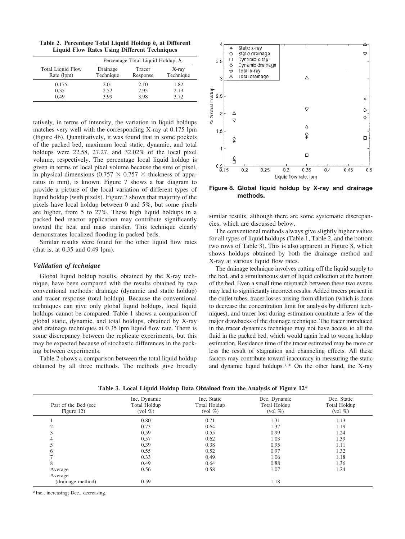**Table 2. Percentage Total Liquid Holdup** *h<sup>t</sup>* **at Different Liquid Flow Rates Using Different Techniques**

|                                        | Percentage Total Liquid Holdup, h, |                    |                    |  |
|----------------------------------------|------------------------------------|--------------------|--------------------|--|
| <b>Total Liquid Flow</b><br>Rate (lpm) | Drainage<br>Technique              | Tracer<br>Response | X-ray<br>Technique |  |
| 0.175                                  | 2.01                               | 2.10               | 1.82               |  |
| 0.35                                   | 2.52                               | 2.95               | 2.13               |  |
| 0.49                                   | 3.99                               | 3.98               | 3.72               |  |

tatively, in terms of intensity, the variation in liquid holdups matches very well with the corresponding X-ray at 0.175 lpm (Figure 4b). Quantitatively, it was found that in some pockets of the packed bed, maximum local static, dynamic, and total holdups were 22.58, 27.27, and 32.02% of the local pixel volume, respectively. The percentage local liquid holdup is given in terms of local pixel volume because the size of pixel, in physical dimensions (0.757  $\times$  0.757  $\times$  thickness of apparatus in mm), is known. Figure 7 shows a bar diagram to provide a picture of the local variation of different types of liquid holdup (with pixels). Figure 7 shows that majority of the pixels have local holdup between 0 and 5%, but some pixels are higher, from 5 to 27%. These high liquid holdups in a packed bed reactor application may contribute significantly toward the heat and mass transfer. This technique clearly demonstrates localized flooding in packed beds.

Similar results were found for the other liquid flow rates (that is, at 0.35 and 0.49 lpm).

# *Validation of technique*

Global liquid holdup results, obtained by the X-ray technique, have been compared with the results obtained by two conventional methods: drainage (dynamic and static holdup) and tracer response (total holdup). Because the conventional techniques can give only global liquid holdups, local liquid holdups cannot be compared. Table 1 shows a comparison of global static, dynamic, and total holdups, obtained by X-ray and drainage techniques at 0.35 lpm liquid flow rate. There is some discrepancy between the replicate experiments, but this may be expected because of stochastic differences in the packing between experiments.

Table 2 shows a comparison between the total liquid holdup obtained by all three methods. The methods give broadly



**Figure 8. Global liquid holdup by X-ray and drainage methods.**

similar results, although there are some systematic discrepancies, which are discussed below.

The conventional methods always give slightly higher values for all types of liquid holdups (Table 1, Table 2, and the bottom two rows of Table 3). This is also apparent in Figure 8, which shows holdups obtained by both the drainage method and X-ray at various liquid flow rates.

The drainage technique involves cutting off the liquid supply to the bed, and a simultaneous start of liquid collection at the bottom of the bed. Even a small time mismatch between these two events may lead to significantly incorrect results. Added tracers present in the outlet tubes, tracer losses arising from dilution (which is done to decrease the concentration limit for analysis by different techniques), and tracer lost during estimation constitute a few of the major drawbacks of the drainage technique. The tracer introduced in the tracer dynamics technique may not have access to all the fluid in the packed bed, which would again lead to wrong holdup estimation. Residence time of the tracer estimated may be more or less the result of stagnation and channeling effects. All these factors may contribute toward inaccuracy in measuring the static and dynamic liquid holdups.3,10 On the other hand, the X-ray

**Table 3. Local Liquid Holdup Data Obtained from the Analysis of Figure 12\***

| Part of the Bed (see<br>Figure 12) | Inc. Dynamic<br>Total Holdup<br>$\left(\text{vol}\ \% \right)$ | Inc. Static<br>Total Holdup<br>$\left(\text{vol}\ \% \right)$ | Dec. Dynamic<br>Total Holdup<br>$\left(\text{vol}\ \% \right)$ | Dec. Static<br>Total Holdup<br>$\left(\text{vol}\ \% \right)$ |
|------------------------------------|----------------------------------------------------------------|---------------------------------------------------------------|----------------------------------------------------------------|---------------------------------------------------------------|
|                                    | 0.80                                                           | 0.71                                                          | 1.31                                                           | 1.13                                                          |
|                                    | 0.73                                                           | 0.64                                                          | 1.37                                                           | 1.19                                                          |
|                                    | 0.59                                                           | 0.55                                                          | 0.99                                                           | 1.24                                                          |
|                                    | 0.57                                                           | 0.62                                                          | 1.03                                                           | 1.39                                                          |
|                                    | 0.39                                                           | 0.38                                                          | 0.95                                                           | 1.11                                                          |
| <sub>(</sub>                       | 0.55                                                           | 0.52                                                          | 0.97                                                           | 1.32                                                          |
|                                    | 0.33                                                           | 0.49                                                          | 1.06                                                           | 1.18                                                          |
| 8                                  | 0.49                                                           | 0.64                                                          | 0.88                                                           | 1.36                                                          |
| Average                            | 0.56                                                           | 0.58                                                          | 1.07                                                           | 1.24                                                          |
| Average                            |                                                                |                                                               |                                                                |                                                               |
| (drainage method)                  | 0.59                                                           |                                                               | 1.18                                                           |                                                               |

\*Inc., increasing; Dec., decreasing.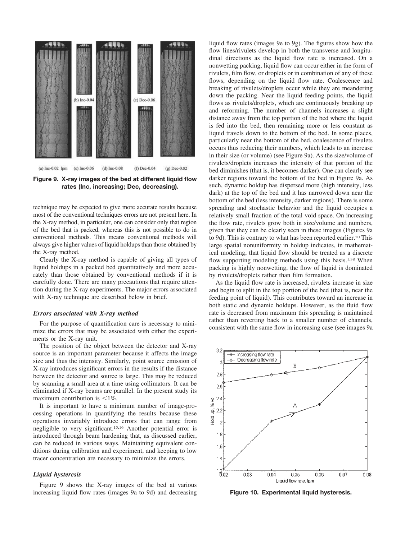

**Figure 9. X-ray images of the bed at different liquid flow rates (Inc, increasing; Dec, decreasing).**

technique may be expected to give more accurate results because most of the conventional techniques errors are not present here. In the X-ray method, in particular, one can consider only that region of the bed that is packed, whereas this is not possible to do in conventional methods. This means conventional methods will always give higher values of liquid holdups than those obtained by the X-ray method.

Clearly the X-ray method is capable of giving all types of liquid holdups in a packed bed quantitatively and more accurately than those obtained by conventional methods if it is carefully done. There are many precautions that require attention during the X-ray experiments. The major errors associated with X-ray technique are described below in brief.

#### *Errors associated with X-ray method*

For the purpose of quantification care is necessary to minimize the errors that may be associated with either the experiments or the X-ray unit.

The position of the object between the detector and X-ray source is an important parameter because it affects the image size and thus the intensity. Similarly, point source emission of X-ray introduces significant errors in the results if the distance between the detector and source is large. This may be reduced by scanning a small area at a time using collimators. It can be eliminated if X-ray beams are parallel. In the present study its maximum contribution is  $\leq 1\%$ .

It is important to have a minimum number of image-processing operations in quantifying the results because these operations invariably introduce errors that can range from negligible to very significant.15,16 Another potential error is introduced through beam hardening that, as discussed earlier, can be reduced in various ways. Maintaining equivalent conditions during calibration and experiment, and keeping to low tracer concentration are necessary to minimize the errors.

## *Liquid hysteresis*

Figure 9 shows the X-ray images of the bed at various increasing liquid flow rates (images 9a to 9d) and decreasing liquid flow rates (images 9e to 9g). The figures show how the flow lines/rivulets develop in both the transverse and longitudinal directions as the liquid flow rate is increased. On a nonwetting packing, liquid flow can occur either in the form of rivulets, film flow, or droplets or in combination of any of these flows, depending on the liquid flow rate. Coalescence and breaking of rivulets/droplets occur while they are meandering down the packing. Near the liquid feeding points, the liquid flows as rivulets/droplets, which are continuously breaking up and reforming. The number of channels increases a slight distance away from the top portion of the bed where the liquid is fed into the bed, then remaining more or less constant as liquid travels down to the bottom of the bed. In some places, particularly near the bottom of the bed, coalescence of rivulets occurs thus reducing their numbers, which leads to an increase in their size (or volume) (see Figure 9a). As the size/volume of rivulets/droplets increases the intensity of that portion of the bed diminishes (that is, it becomes darker). One can clearly see darker regions toward the bottom of the bed in Figure 9a. As such, dynamic holdup has dispersed more (high intensity, less dark) at the top of the bed and it has narrowed down near the bottom of the bed (less intensity, darker regions). There is some spreading and stochastic behavior and the liquid occupies a relatively small fraction of the total void space. On increasing the flow rate, rivulets grow both in size/volume and numbers, given that they can be clearly seen in these images (Figures 9a to 9d). This is contrary to what has been reported earlier.<sup>20</sup> This large spatial nonuniformity in holdup indicates, in mathematical modeling, that liquid flow should be treated as a discrete flow supporting modeling methods using this basis.<sup>1,38</sup> When packing is highly nonwetting, the flow of liquid is dominated by rivulets/droplets rather than film formation.

As the liquid flow rate is increased, rivulets increase in size and begin to split in the top portion of the bed (that is, near the feeding point of liquid). This contributes toward an increase in both static and dynamic holdups. However, as the fluid flow rate is decreased from maximum this spreading is maintained rather than reverting back to a smaller number of channels, consistent with the same flow in increasing case (see images 9a



**Figure 10. Experimental liquid hysteresis.**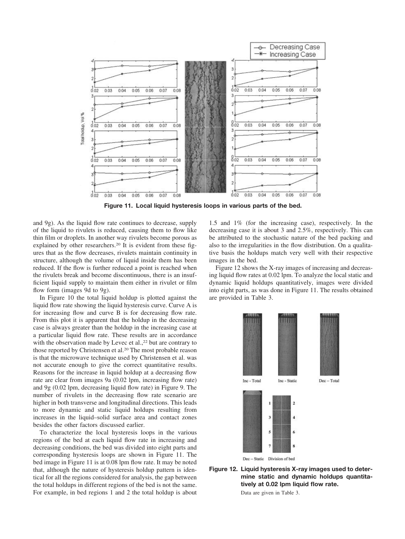

**Figure 11. Local liquid hysteresis loops in various parts of the bed.**

and 9g). As the liquid flow rate continues to decrease, supply of the liquid to rivulets is reduced, causing them to flow like thin film or droplets. In another way rivulets become porous as explained by other researchers.<sup>20</sup> It is evident from these figures that as the flow decreases, rivulets maintain continuity in structure, although the volume of liquid inside them has been reduced. If the flow is further reduced a point is reached when the rivulets break and become discontinuous, there is an insufficient liquid supply to maintain them either in rivulet or film flow form (images 9d to 9g).

In Figure 10 the total liquid holdup is plotted against the liquid flow rate showing the liquid hysteresis curve. Curve A is for increasing flow and curve B is for decreasing flow rate. From this plot it is apparent that the holdup in the decreasing case is always greater than the holdup in the increasing case at a particular liquid flow rate. These results are in accordance with the observation made by Levec et al.,<sup>22</sup> but are contrary to those reported by Christensen et al.<sup>20</sup> The most probable reason is that the microwave technique used by Christensen et al. was not accurate enough to give the correct quantitative results. Reasons for the increase in liquid holdup at a decreasing flow rate are clear from images 9a (0.02 lpm, increasing flow rate) and 9g (0.02 lpm, decreasing liquid flow rate) in Figure 9. The number of rivulets in the decreasing flow rate scenario are higher in both transverse and longitudinal directions. This leads to more dynamic and static liquid holdups resulting from increases in the liquid–solid surface area and contact zones besides the other factors discussed earlier.

To characterize the local hysteresis loops in the various regions of the bed at each liquid flow rate in increasing and decreasing conditions, the bed was divided into eight parts and corresponding hysteresis loops are shown in Figure 11. The bed image in Figure 11 is at 0.08 lpm flow rate. It may be noted that, although the nature of hysteresis holdup pattern is identical for all the regions considered for analysis, the gap between the total holdups in different regions of the bed is not the same. For example, in bed regions 1 and 2 the total holdup is about 1.5 and 1% (for the increasing case), respectively. In the decreasing case it is about 3 and 2.5%, respectively. This can be attributed to the stochastic nature of the bed packing and also to the irregularities in the flow distribution. On a qualitative basis the holdups match very well with their respective images in the bed.

Figure 12 shows the X-ray images of increasing and decreasing liquid flow rates at 0.02 lpm. To analyze the local static and dynamic liquid holdups quantitatively, images were divided into eight parts, as was done in Figure 11. The results obtained are provided in Table 3.



**Figure 12. Liquid hysteresis X-ray images used to determine static and dynamic holdups quantitatively at 0.02 lpm liquid flow rate.** Data are given in Table 3.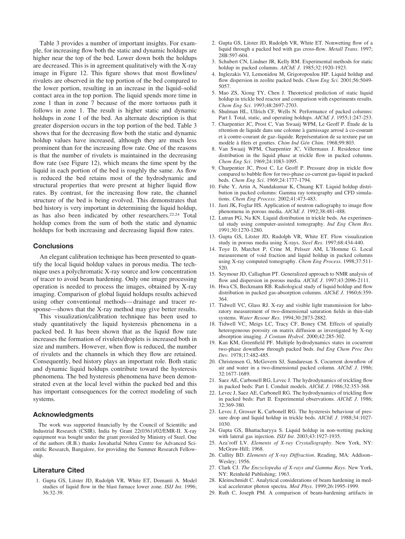Table 3 provides a number of important insights. For example, for increasing flow both the static and dynamic holdups are higher near the top of the bed. Lower down both the holdups are decreased. This is in agreement qualitatively with the X-ray image in Figure 12. This figure shows that most flowlines/ rivulets are observed in the top portion of the bed compared to the lower portion, resulting in an increase in the liquid–solid contact area in the top portion. The liquid spends more time in zone 1 than in zone 7 because of the more tortuous path it follows in zone 1. The result is higher static and dynamic holdups in zone 1 of the bed. An alternate description is that greater dispersion occurs in the top portion of the bed. Table 3 shows that for the decreasing flow both the static and dynamic holdup values have increased, although they are much less prominent than for the increasing flow rate. One of the reasons is that the number of rivulets is maintained in the decreasing flow rate (see Figure 12), which means the time spent by the liquid in each portion of the bed is roughly the same. As flow is reduced the bed retains most of the hydrodynamic and structural properties that were present at higher liquid flow rates. By contrast, for the increasing flow rate, the channel structure of the bed is being evolved. This demonstrates that bed history is very important in determining the liquid holdup, as has also been indicated by other researchers.22,24 Total holdup comes from the sum of both the static and dynamic holdups for both increasing and decreasing liquid flow rates.

#### **Conclusions**

An elegant calibration technique has been presented to quantify the local liquid holdup values in porous media. The technique uses a polychromatic X-ray source and low concentration of tracer to avoid beam hardening. Only one image processing operation is needed to process the images, obtained by X-ray imaging. Comparison of global liquid holdups results achieved using other conventional methods—drainage and tracer response—shows that the X-ray method may give better results.

This visualization/calibration technique has been used to study quantitatively the liquid hysteresis phenomena in a packed bed. It has been shown that as the liquid flow rate increases the formation of rivulets/droplets is increased both in size and numbers. However, when flow is reduced, the number of rivulets and the channels in which they flow are retained. Consequently, bed history plays an important role. Both static and dynamic liquid holdups contribute toward the hysteresis phenomena. The bed hysteresis phenomena have been demonstrated even at the local level within the packed bed and this has important consequences for the correct modeling of such systems.

## **Acknowledgments**

The work was supported financially by the Council of Scientific and Industrial Research (CSIR), India by Grant 22(0361)/02/EMR-II. X-ray equipment was bought under the grant provided by Ministry of Steel. One of the authors (R.B.) thanks Jawaharlal Nehru Centre for Advanced Scientific Research, Bangalore, for providing the Summer Research Fellowship.

# **Literature Cited**

1. Gupta GS, Litster JD, Rudolph VR, White ET, Domanti A. Model studies of liquid flow in the blast furnace lower zone. *ISIJ Int*. 1996; 36:32-39.

- 2. Gupta GS, Litster JD, Rudolph VR, White ET. Nonwetting flow of a liquid through a packed bed with gas cross-flow. *Metall Trans*. 1997; 28B:597-604.
- 3. Schubert CN, Lindner JR, Kelly RM. Experimental methods for static holdup in packed columns. *AIChE J*. 1985;32:1920-1923.
- 4. Inglezakis VJ, Lemonidou M, Grigoropoulou HP. Liquid holdup and flow dispersion in zeolite packed beds. *Chem Eng Sci*. 2001;56:5049- 5057.
- 5. Mao ZS, Xiong TY, Chen J. Theoretical prediction of static liquid holdup in trickle bed reactor and comparison with experiments results. *Chem Eng Sci*. 1993;48:2697-2703.
- 6. Shulman HL, Ullrich CF, Wells N. Performance of packed columns: Part I. Total, static, and operating holdups. *AIChE J*. 1955;1:247-253.
- 7. Charpentier JC, Prost C, Van Swaaij WPM, Le Geoff P. Étude de la rétention de liquide dans une colonne à garnissage arrosé à co-courant et à contre-courant de gaz–liquide. Représentation de sa texture par un modèle à filets et gouttes. *Chim Ind Gén Chim*. 1968;99:803.
- 8. Van Swaaij WPM, Charpentier JC, Villermaux J. Residence time distribution in the liquid phase at trickle flow in packed columns. *Chem Eng Sci*. 1969;24:1083-1095.
- 9. Charpentier JC, Prost C, Le Geoff P. Pressure drop in trickle flow compared to bubble flow for two-phase co-current gas-liquid in packed beds. *Chem Eng Sci*. 1969;24:1777-1794.
- 10. Fuhe Y, Artin A, Nandakumar K, Chuang KT. Liquid holdup distribution in packed columns: Gamma ray tomography and CFD simulations. *Chem Eng Process*. 2002;41:473-483.
- 11. Jasti JK, Foglar HS. Application of neutron radiography to image flow phenomena in porous media. *AIChE J*. 1992;38:481-488.
- 12. Lutran PG, Na KN. Liquid distribution in trickle beds. An experimental study using computer-assisted tomography. *Ind Eng Chem Res*. 1991;30:1270-1280.
- 13. Gupta GS, Litster JD, Rudolph VR, White ET. Flow visualization study in porous media using X-rays. *Steel Res*. 1997;68:434-440.
- 14. Toye D, Marchot P, Crine M, Pelsser AM, L'Homme G. Local measurement of void fraction and liquid holdup in packed columns using X-ray computed tomography. *Chem Eng Process*. 1998;37:511- 520.
- 15. Seymour JD, Callaghan PT. Generalized approach to NMR analysis of flow and dispersion in porous media. *AIChE J*. 1997;43:2096-2111.
- 16. Hwa CS, Beckmann RB. Radiological study of liquid holdup and flow distribution in packed gas-absorption columns. *AIChE J*. 1960;6:359- 364.
- 17. Tidwell VC, Glass RJ. X-ray and visible light transmission for laboratory measurement of two-dimensional saturation fields in thin-slab systems. *Water Resour Res*. 1994;30:2873-2882.
- 18. Tidwell VC, Meigs LC, Tracy CF, Boney CM. Effects of spatially heterogeneous porosity on matrix diffusion as investigated by X-ray absorption imaging. *J Contam Hydrol*. 2000;42:285-302.
- 19. Kan KM, Greenfield PF. Multiple hydrodynamics states in cocurrent two-phase downflow through packed beds. *Ind Eng Chem Proc Des Dev*. 1978;17:482-485.
- 20. Christensen G, McGovern SJ, Sundaresan S. Cocurrent downflow of air and water in a two-dimensional packed column. *AIChE J*. 1986; 32:1677-1689.
- 21. Saez AE, Carbonell RG, Levec J. The hydrodynamics of trickling flow in packed beds: Part I. Conduit models. *AIChE J*. 1986;32:353-368.
- 22. Levec J, Saez AE, Carbonell RG. The hydrodynamics of trickling flow in packed beds: Part II. Experimental observations. *AIChE J*. 1986; 32:369-380.
- 23. Levec J, Grosser K, Carbonell RG. The hysteresis behaviour of pressure drop and liquid holdup in trickle beds. *AIChE J*. 1988;34:1027- 1030.
- 24. Gupta GS, Bhattacharyya S. Liquid holdup in non-wetting packing with lateral gas injection. *ISIJ Int*. 2003;43:1927-1935.
- 25. Aza'roff LV. *Elements of X-ray Crystallography*. New York, NY: McGraw-Hill: 1968
- 26. Cullity BD. *Elements of X-ray Diffraction*. Reading, MA: Addison– Wesley; 1956.
- 27. Clark CJ. *The Encyclopedia of X-rays and Gamma Rays*. New York, NY: Reinhold Publishing; 1963.
- 28. Kleinschmidt C. Analytical considerations of beam hardening in medical accelerator photon spectra. *Med Phys*. 1999;26:1995-1999.
- 29. Ruth C, Joseph PM. A comparison of beam-hardening artifacts in